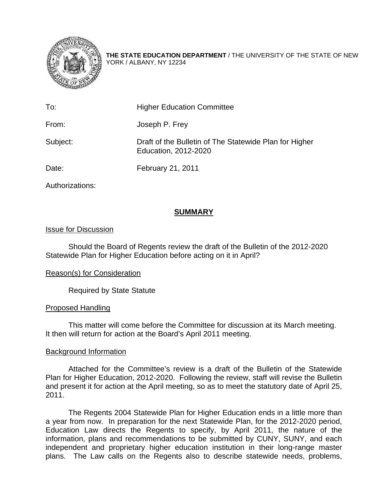

**THE STATE EDUCATION DEPARTMENT** / THE UNIVERSITY OF THE STATE OF NEW YORK / ALBANY, NY 12234

| To:      | <b>Higher Education Committee</b>                                              |
|----------|--------------------------------------------------------------------------------|
| From:    | Joseph P. Frey                                                                 |
| Subject: | Draft of the Bulletin of The Statewide Plan for Higher<br>Education, 2012-2020 |
| Date:    | February 21, 2011                                                              |

Authorizations:

## **SUMMARY**

## Issue for Discussion

Should the Board of Regents review the draft of the Bulletin of the 2012-2020 Statewide Plan for Higher Education before acting on it in April?

## Reason(s) for Consideration

Required by State Statute

## Proposed Handling

This matter will come before the Committee for discussion at its March meeting. It then will return for action at the Board's April 2011 meeting.

## Background Information

Attached for the Committee's review is a draft of the Bulletin of the Statewide Plan for Higher Education, 2012-2020. Following the review, staff will revise the Bulletin and present it for action at the April meeting, so as to meet the statutory date of April 25, 2011.

The Regents 2004 Statewide Plan for Higher Education ends in a little more than a year from now. In preparation for the next Statewide Plan, for the 2012-2020 period, Education Law directs the Regents to specify, by April 2011, the nature of the information, plans and recommendations to be submitted by CUNY, SUNY, and each independent and proprietary higher education institution in their long-range master plans. The Law calls on the Regents also to describe statewide needs, problems,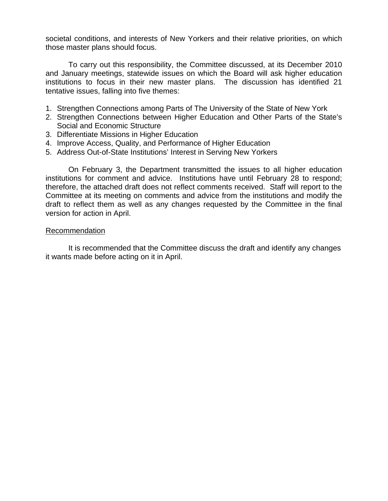societal conditions, and interests of New Yorkers and their relative priorities, on which those master plans should focus.

To carry out this responsibility, the Committee discussed, at its December 2010 and January meetings, statewide issues on which the Board will ask higher education institutions to focus in their new master plans. The discussion has identified 21 tentative issues, falling into five themes:

- 1. Strengthen Connections among Parts of The University of the State of New York
- 2. Strengthen Connections between Higher Education and Other Parts of the State's Social and Economic Structure
- 3. Differentiate Missions in Higher Education
- 4. Improve Access, Quality, and Performance of Higher Education
- 5. Address Out-of-State Institutions' Interest in Serving New Yorkers

On February 3, the Department transmitted the issues to all higher education institutions for comment and advice. Institutions have until February 28 to respond; therefore, the attached draft does not reflect comments received. Staff will report to the Committee at its meeting on comments and advice from the institutions and modify the draft to reflect them as well as any changes requested by the Committee in the final version for action in April.

#### Recommendation

It is recommended that the Committee discuss the draft and identify any changes it wants made before acting on it in April.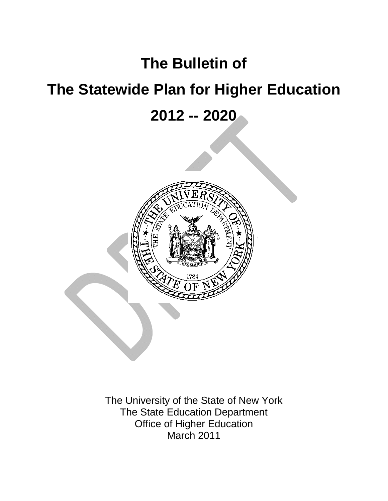# **The Bulletin of**

# **The Statewide Plan for Higher Education**

**2012 -- 2020** 



The University of the State of New York The State Education Department Office of Higher Education March 2011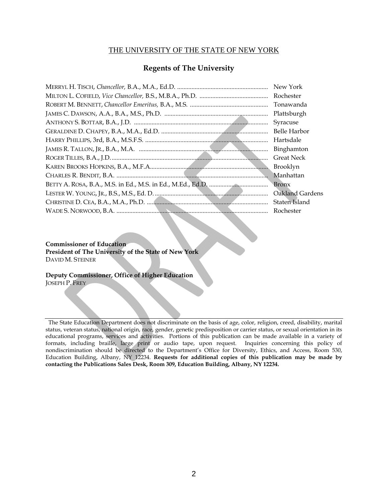## THE UNIVERSITY OF THE STATE OF NEW YORK

## **Regents of The University**

| New York            |
|---------------------|
| Rochester           |
| Tonawanda           |
| Plattsburgh         |
| Syracuse            |
| <b>Belle Harbor</b> |
| Hartsdale           |
| Binghamton          |
| <b>Great Neck</b>   |
| Brooklyn            |
| Manhattan           |
| <b>Bronx</b>        |
| Oakland Gardens     |
| Staten Island       |
| Rochester           |

#### **Commissioner of Education**

**President of The University of the State of New York** DAVID M. STEINER

**Deputy Commissioner, Office of Higher Education**  JOSEPH P. FREY

 The State Education Department does not discriminate on the basis of age, color, religion, creed, disability, marital status, veteran status, national origin, race, gender, genetic predisposition or carrier status, or sexual orientation in its educational programs, services and activities. Portions of this publication can be made available in a variety of formats, including braille, large print or audio tape, upon request. Inquiries concerning this policy of nondiscrimination should be directed to the Department's Office for Diversity, Ethics, and Access, Room 530, Education Building, Albany, NY 12234. **Requests for additional copies of this publication may be made by contacting the Publications Sales Desk, Room 309, Education Building, Albany, NY 12234.**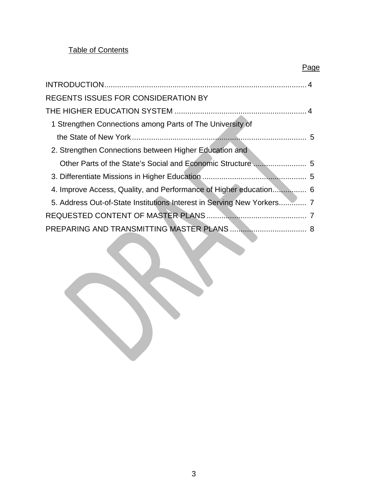## **Table of Contents**

| <b>REGENTS ISSUES FOR CONSIDERATION BY</b>                             |  |
|------------------------------------------------------------------------|--|
|                                                                        |  |
| 1 Strengthen Connections among Parts of The University of              |  |
|                                                                        |  |
| 2. Strengthen Connections between Higher Education and                 |  |
|                                                                        |  |
|                                                                        |  |
| 4. Improve Access, Quality, and Performance of Higher education 6      |  |
| 5. Address Out-of-State Institutions Interest in Serving New Yorkers 7 |  |
|                                                                        |  |
|                                                                        |  |

Page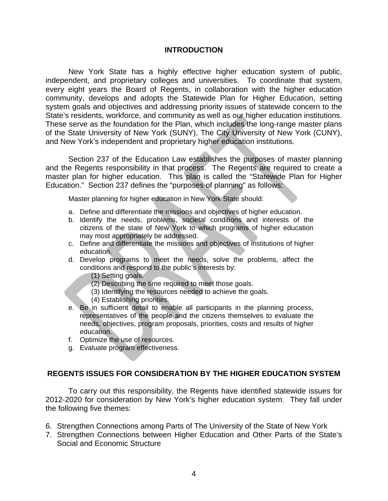## **INTRODUCTION**

New York State has a highly effective higher education system of public, independent, and proprietary colleges and universities. To coordinate that system, every eight years the Board of Regents, in collaboration with the higher education community, develops and adopts the Statewide Plan for Higher Education, setting system goals and objectives and addressing priority issues of statewide concern to the State's residents, workforce, and community as well as our higher education institutions. These serve as the foundation for the Plan, which includes the long-range master plans of the State University of New York (SUNY), The City University of New York (CUNY), and New York's independent and proprietary higher education institutions.

Section 237 of the Education Law establishes the purposes of master planning and the Regents responsibility in that process. The Regents are required to create a master plan for higher education. This plan is called the "Statewide Plan for Higher Education." Section 237 defines the "purposes of planning" as follows:

Master planning for higher education in New York State should:

- a. Define and differentiate the missions and objectives of higher education.
- b. Identify the needs, problems, societal conditions and interests of the citizens of the state of New York to which programs of higher education may most appropriately be addressed.
- c. Define and differentiate the missions and objectives of institutions of higher education.
- d. Develop programs to meet the needs, solve the problems, affect the conditions and respond to the public's interests by:
	- (1) Setting goals.
	- (2) Describing the time required to meet those goals.
	- (3) Identifying the resources needed to achieve the goals.
	- (4) Establishing priorities.
- e. Be in sufficient detail to enable all participants in the planning process, representatives of the people and the citizens themselves to evaluate the needs, objectives, program proposals, priorities, costs and results of higher education.
- f. Optimize the use of resources.
- g. Evaluate program effectiveness.

## **REGENTS ISSUES FOR CONSIDERATION BY THE HIGHER EDUCATION SYSTEM**

To carry out this responsibility, the Regents have identified statewide issues for 2012-2020 for consideration by New York's higher education system. They fall under the following five themes:

- 6. Strengthen Connections among Parts of The University of the State of New York
- 7. Strengthen Connections between Higher Education and Other Parts of the State's Social and Economic Structure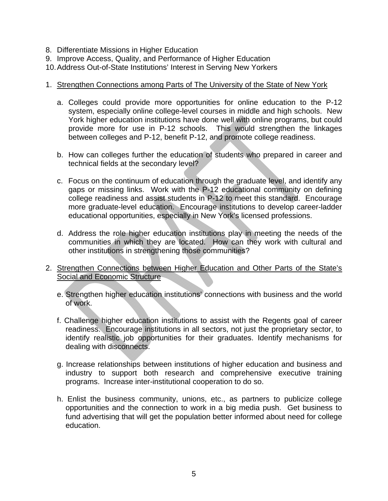- 8. Differentiate Missions in Higher Education
- 9. Improve Access, Quality, and Performance of Higher Education
- 10. Address Out-of-State Institutions' Interest in Serving New Yorkers

## 1. Strengthen Connections among Parts of The University of the State of New York

- a. Colleges could provide more opportunities for online education to the P-12 system, especially online college-level courses in middle and high schools. New York higher education institutions have done well with online programs, but could provide more for use in P-12 schools. This would strengthen the linkages between colleges and P-12, benefit P-12, and promote college readiness.
- b. How can colleges further the education of students who prepared in career and technical fields at the secondary level?
- c. Focus on the continuum of education through the graduate level, and identify any gaps or missing links. Work with the P-12 educational community on defining college readiness and assist students in P-12 to meet this standard. Encourage more graduate-level education. Encourage institutions to develop career-ladder educational opportunities, especially in New York's licensed professions.
- d. Address the role higher education institutions play in meeting the needs of the communities in which they are located. How can they work with cultural and other institutions in strengthening those communities?
- 2. Strengthen Connections between Higher Education and Other Parts of the State's Social and Economic Structure
	- e. Strengthen higher education institutions' connections with business and the world of work.
	- f. Challenge higher education institutions to assist with the Regents goal of career readiness. Encourage institutions in all sectors, not just the proprietary sector, to identify realistic job opportunities for their graduates. Identify mechanisms for dealing with disconnects.
	- g. Increase relationships between institutions of higher education and business and industry to support both research and comprehensive executive training programs. Increase inter-institutional cooperation to do so.
	- h. Enlist the business community, unions, etc., as partners to publicize college opportunities and the connection to work in a big media push. Get business to fund advertising that will get the population better informed about need for college education.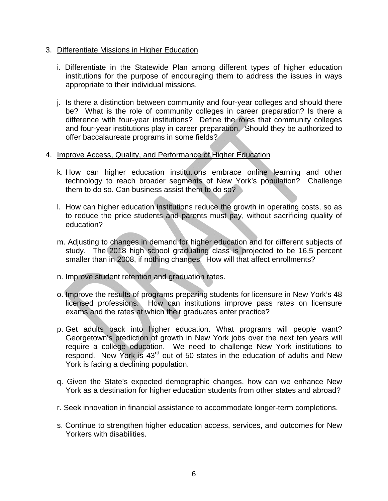## 3. Differentiate Missions in Higher Education

- i. Differentiate in the Statewide Plan among different types of higher education institutions for the purpose of encouraging them to address the issues in ways appropriate to their individual missions.
- j. Is there a distinction between community and four-year colleges and should there be? What is the role of community colleges in career preparation? Is there a difference with four-year institutions? Define the roles that community colleges and four-year institutions play in career preparation. Should they be authorized to offer baccalaureate programs in some fields?

## 4. Improve Access, Quality, and Performance of Higher Education

- k. How can higher education institutions embrace online learning and other technology to reach broader segments of New York's population? Challenge them to do so. Can business assist them to do so?
- l. How can higher education institutions reduce the growth in operating costs, so as to reduce the price students and parents must pay, without sacrificing quality of education?
- m. Adjusting to changes in demand for higher education and for different subjects of study. The 2018 high school graduating class is projected to be 16.5 percent smaller than in 2008, if nothing changes. How will that affect enrollments?
- n. Improve student retention and graduation rates.
- o. Improve the results of programs preparing students for licensure in New York's 48 licensed professions. How can institutions improve pass rates on licensure exams and the rates at which their graduates enter practice?
- p. Get adults back into higher education. What programs will people want? Georgetown's prediction of growth in New York jobs over the next ten years will require a college education. We need to challenge New York institutions to respond. New York is 43<sup>rd</sup> out of 50 states in the education of adults and New York is facing a declining population.
- q. Given the State's expected demographic changes, how can we enhance New York as a destination for higher education students from other states and abroad?
- r. Seek innovation in financial assistance to accommodate longer-term completions.
- s. Continue to strengthen higher education access, services, and outcomes for New Yorkers with disabilities.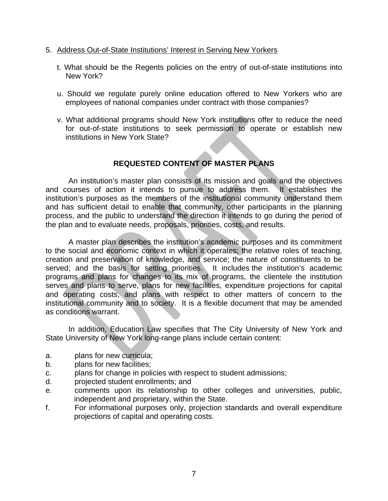- 5. Address Out-of-State Institutions' Interest in Serving New Yorkers
	- t. What should be the Regents policies on the entry of out-of-state institutions into New York?
	- u. Should we regulate purely online education offered to New Yorkers who are employees of national companies under contract with those companies?
	- v. What additional programs should New York institutions offer to reduce the need for out-of-state institutions to seek permission to operate or establish new institutions in New York State?

## **REQUESTED CONTENT OF MASTER PLANS**

An institution's master plan consists of its mission and goals and the objectives and courses of action it intends to pursue to address them. It establishes the institution's purposes as the members of the institutional community understand them and has sufficient detail to enable that community, other participants in the planning process, and the public to understand the direction it intends to go during the period of the plan and to evaluate needs, proposals, priorities, costs, and results.

A master plan describes the institution's academic purposes and its commitment to the social and economic context in which it operates; the relative roles of teaching, creation and preservation of knowledge, and service; the nature of constituents to be served; and the basis for setting priorities. It includes the institution's academic programs and plans for changes to its mix of programs, the clientele the institution serves and plans to serve, plans for new facilities, expenditure projections for capital and operating costs, and plans with respect to other matters of concern to the institutional community and to society. It is a flexible document that may be amended as conditions warrant.

In addition, Education Law specifies that The City University of New York and State University of New York long-range plans include certain content:

- a. plans for new curricula;
- b. plans for new facilities;
- c. plans for change in policies with respect to student admissions;
- d. projected student enrollments; and
- e. comments upon its relationship to other colleges and universities, public, independent and proprietary, within the State.
- f. For informational purposes only, projection standards and overall expenditure projections of capital and operating costs.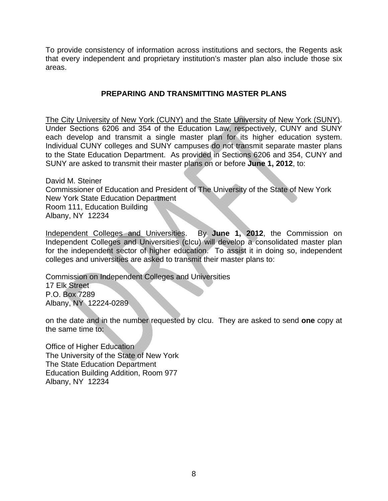To provide consistency of information across institutions and sectors, the Regents ask that every independent and proprietary institution's master plan also include those six areas.

## **PREPARING AND TRANSMITTING MASTER PLANS**

The City University of New York (CUNY) and the State University of New York (SUNY). Under Sections 6206 and 354 of the Education Law, respectively, CUNY and SUNY each develop and transmit a single master plan for its higher education system. Individual CUNY colleges and SUNY campuses do not transmit separate master plans to the State Education Department. As provided in Sections 6206 and 354, CUNY and SUNY are asked to transmit their master plans on or before **June 1, 2012**, to:

David M. Steiner Commissioner of Education and President of The University of the State of New York New York State Education Department Room 111, Education Building Albany, NY 12234

Independent Colleges and Universities. By **June 1, 2012**, the Commission on Independent Colleges and Universities (cIcu) will develop a consolidated master plan for the independent sector of higher education. To assist it in doing so, independent colleges and universities are asked to transmit their master plans to:

Commission on Independent Colleges and Universities 17 Elk Street P.O. Box 7289

Albany, NY 12224-0289

on the date and in the number requested by cIcu. They are asked to send **one** copy at the same time to:

Office of Higher Education The University of the State of New York The State Education Department Education Building Addition, Room 977 Albany, NY 12234